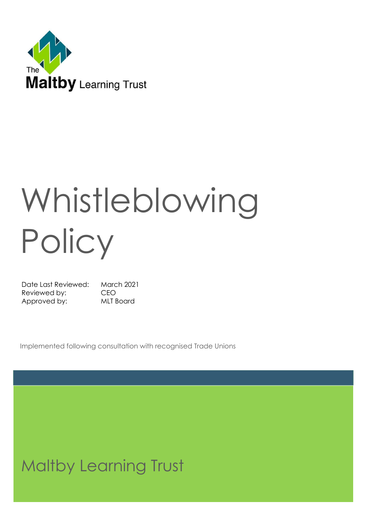

# Whistleblowing **Policy**

Date Last Reviewed: March 2021 Reviewed by: CEO Approved by: MLT Board

Implemented following consultation with recognised Trade Unions

# Maltby Learning Trust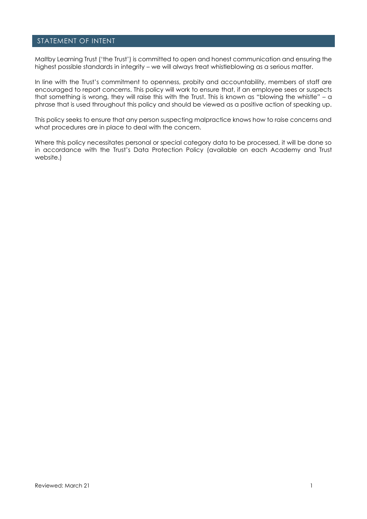#### STATEMENT OF INTENT

Maltby Learning Trust ('the Trust') is committed to open and honest communication and ensuring the highest possible standards in integrity – we will always treat whistleblowing as a serious matter.

In line with the Trust's commitment to openness, probity and accountability, members of staff are encouraged to report concerns. This policy will work to ensure that, if an employee sees or suspects that something is wrong, they will raise this with the Trust. This is known as "blowing the whistle" - a phrase that is used throughout this policy and should be viewed as a positive action of speaking up.

This policy seeks to ensure that any person suspecting malpractice knows how to raise concerns and what procedures are in place to deal with the concern.

Where this policy necessitates personal or special category data to be processed, it will be done so in accordance with the Trust's Data Protection Policy (available on each Academy and Trust website.)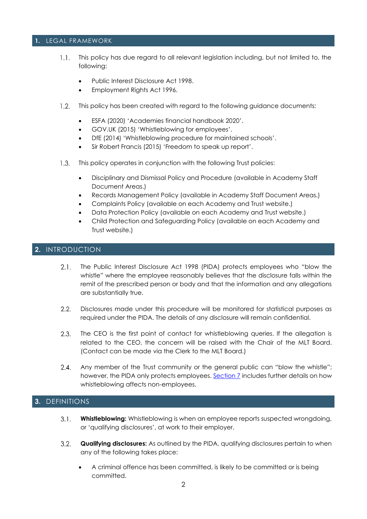#### **1.** LEGAL FRAMEWORK

- $1.1.$ This policy has due regard to all relevant legislation including, but not limited to, the following:
	- Public Interest Disclosure Act 1998.
	- Employment Rights Act 1996.
- $1.2.$ This policy has been created with regard to the following guidance documents:
	- ESFA (2020) 'Academies financial handbook 2020'.
	- GOV.UK (2015) 'Whistleblowing for employees'.
	- DfE (2014) 'Whistleblowing procedure for maintained schools'.
	- Sir Robert Francis (2015) 'Freedom to speak up report'.
- This policy operates in conjunction with the following Trust policies:  $1.3.$ 
	- Disciplinary and Dismissal Policy and Procedure (available in Academy Staff Document Areas.)
	- Records Management Policy (available in Academy Staff Document Areas.)
	- Complaints Policy (available on each Academy and Trust website.)
	- Data Protection Policy (available on each Academy and Trust website.)
	- Child Protection and Safeguarding Policy (available on each Academy and Trust website.)

#### **2.** INTRODUCTION

- $2.1.$ The Public Interest Disclosure Act 1998 (PIDA) protects employees who "blow the whistle" where the employee reasonably believes that the disclosure falls within the remit of the prescribed person or body and that the information and any allegations are substantially true.
- $2.2.$ Disclosures made under this procedure will be monitored for statistical purposes as required under the PIDA. The details of any disclosure will remain confidential.
- $2.3.$ The CEO is the first point of contact for whistleblowing queries. If the allegation is related to the CEO, the concern will be raised with the Chair of the MLT Board. (Contact can be made via the Clerk to the MLT Board.)
- $2.4.$ Any member of the Trust community or the general public can "blow the whistle"; however, the PIDA only protects employees. [Section 7](#page-5-0) includes further details on how whistleblowing affects non-employees.

# **3.** DEFINITIONS

- $3.1.$ **Whistleblowing:** Whistleblowing is when an employee reports suspected wrongdoing, or 'qualifying disclosures', at work to their employer.
- <span id="page-2-0"></span> $3.2.$ **Qualifying disclosures:** As outlined by the PIDA, qualifying disclosures pertain to when any of the following takes place:
	- A criminal offence has been committed, is likely to be committed or is being committed.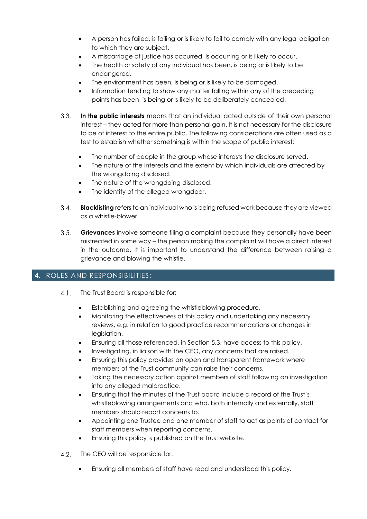- A person has failed, is failing or is likely to fail to comply with any legal obligation to which they are subject.
- A miscarriage of justice has occurred, is occurring or is likely to occur.
- The health or safety of any individual has been, is being or is likely to be endangered.
- The environment has been, is being or is likely to be damaged.
- Information tending to show any matter falling within any of the preceding points has been, is being or is likely to be deliberately concealed.
- <span id="page-3-0"></span> $3.3.$ **In the public interests** means that an individual acted outside of their own personal interest – they acted for more than personal gain. It is not necessary for the disclosure to be of interest to the entire public. The following considerations are often used as a test to establish whether something is within the scope of public interest:
	- The number of people in the group whose interests the disclosure served.
	- The nature of the interests and the extent by which individuals are affected by the wrongdoing disclosed.
	- The nature of the wrongdoing disclosed.
	- The identity of the alleged wrongdoer.
- $3.4.$ **Blacklisting** refers to an individual who is being refused work because they are viewed as a whistle-blower.
- $3.5.$ **Grievances** involve someone filing a complaint because they personally have been mistreated in some way – the person making the complaint will have a direct interest in the outcome. It is important to understand the difference between raising a grievance and blowing the whistle.

# **4.** ROLES AND RESPONSIBILITIES:

- 4.1. The Trust Board is responsible for:
	- Establishing and agreeing the whistleblowing procedure.
	- Monitoring the effectiveness of this policy and undertaking any necessary reviews, e.g. in relation to good practice recommendations or changes in legislation.
	- Ensuring all those referenced, in Section 5.3, have access to this policy.
	- Investigating, in liaison with the CEO, any concerns that are raised.
	- Ensuring this policy provides an open and transparent framework where members of the Trust community can raise their concerns.
	- Taking the necessary action against members of staff following an investigation into any alleged malpractice.
	- Ensuring that the minutes of the Trust board include a record of the Trust's whistleblowing arrangements and who, both internally and externally, staff members should report concerns to.
	- Appointing one Trustee and one member of staff to act as points of contact for staff members when reporting concerns.
	- Ensuring this policy is published on the Trust website.
- 4.2. The CEO will be responsible for:
	- Ensuring all members of staff have read and understood this policy.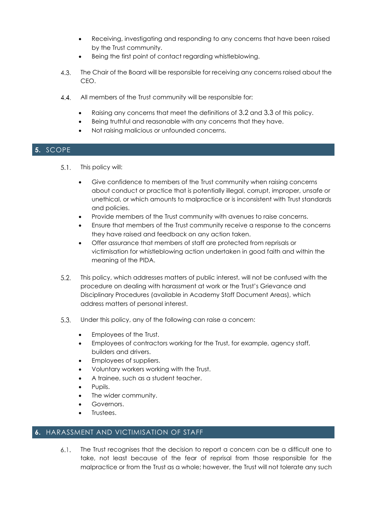- Receiving, investigating and responding to any concerns that have been raised by the Trust community.
- Being the first point of contact regarding whistleblowing.
- 4.3. The Chair of the Board will be responsible for receiving any concerns raised about the CEO.
- $4.4.$ All members of the Trust community will be responsible for:
	- Raising any concerns that meet the definitions of [3.2](#page-2-0) and [3.3](#page-3-0) of this policy.
	- Being truthful and reasonable with any concerns that they have.
	- Not raising malicious or unfounded concerns.

# **5.** SCOPE

- $5.1.$ This policy will:
	- Give confidence to members of the Trust community when raising concerns about conduct or practice that is potentially illegal, corrupt, improper, unsafe or unethical, or which amounts to malpractice or is inconsistent with Trust standards and policies.
	- Provide members of the Trust community with avenues to raise concerns.
	- Ensure that members of the Trust community receive a response to the concerns they have raised and feedback on any action taken.
	- Offer assurance that members of staff are protected from reprisals or victimisation for whistleblowing action undertaken in good faith and within the meaning of the PIDA.
- $5.2.$ This policy, which addresses matters of public interest, will not be confused with the procedure on dealing with harassment at work or the Trust's Grievance and Disciplinary Procedures (available in Academy Staff Document Areas), which address matters of personal interest.
- $5.3.$ Under this policy, any of the following can raise a concern:
	- Employees of the Trust.
	- Employees of contractors working for the Trust, for example, agency staff, builders and drivers.
	- Employees of suppliers.
	- Voluntary workers working with the Trust.
	- A trainee, such as a student teacher.
	- Pupils.
	- The wider community.
	- Governors.
	- Trustees.

# **6.** HARASSMENT AND VICTIMISATION OF STAFF

The Trust recognises that the decision to report a concern can be a difficult one to  $6.1.$ take, not least because of the fear of reprisal from those responsible for the malpractice or from the Trust as a whole; however, the Trust will not tolerate any such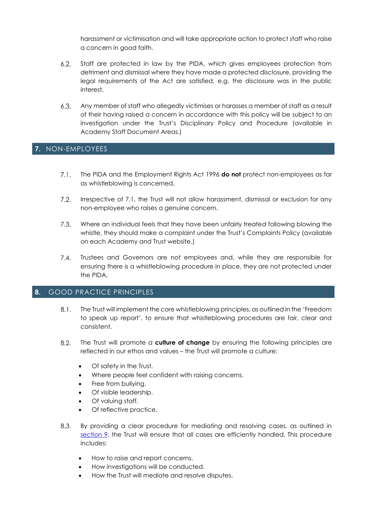harassment or victimisation and will take appropriate action to protect staff who raise a concern in good faith.

- $6.2.$ Staff are protected in law by the PIDA, which gives employees protection from detriment and dismissal where they have made a protected disclosure, providing the legal requirements of the Act are satisfied, e.g. the disclosure was in the public interest.
- $6.3.$ Any member of staff who allegedly victimises or harasses a member of staff as a result of their having raised a concern in accordance with this policy will be subject to an investigation under the Trust's Disciplinary Policy and Procedure (available in Academy Staff Document Areas.)

# <span id="page-5-0"></span>**7.** NON-EMPLOYEES

- $7.1.$ The PIDA and the Employment Rights Act 1996 **do not** protect non-employees as far as whistleblowing is concerned.
- $7.2.$ Irrespective of 7.1, the Trust will not allow harassment, dismissal or exclusion for any non-employee who raises a genuine concern.
- $7.3.$ Where an individual feels that they have been unfairly treated following blowing the whistle, they should make a complaint under the Trust's Complaints Policy (available on each Academy and Trust website.)
- $7.4.$ Trustees and Governors are not employees and, while they are responsible for ensuring there is a whistleblowing procedure in place, they are not protected under the PIDA.

#### **8.** GOOD PRACTICE PRINCIPLES

- $8.1.$ The Trust will implement the core whistleblowing principles, as outlined in the 'Freedom to speak up report', to ensure that whistleblowing procedures are fair, clear and consistent.
- $8.2.$ The Trust will promote a **culture of change** by ensuring the following principles are reflected in our ethos and values – the Trust will promote a culture:
	- Of safety in the Trust.
	- Where people feel confident with raising concerns.
	- Free from bullying.
	- Of visible leadership.
	- Of valuing staff.
	- Of reflective practice.
- $8.3.$ By providing a clear procedure for mediating and resolving cases, as outlined in [section 9,](#page-6-0) the Trust will ensure that all cases are efficiently handled. This procedure includes:
	- How to raise and report concerns.
	- How investigations will be conducted.
	- How the Trust will mediate and resolve disputes.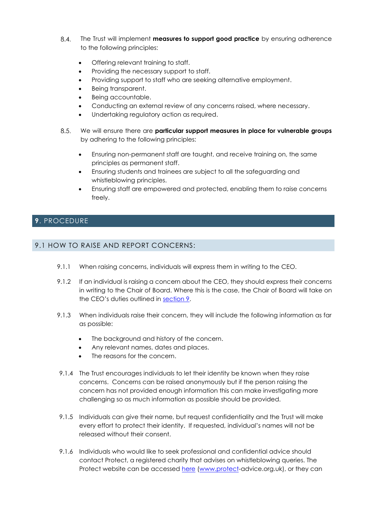- The Trust will implement **measures to support good practice** by ensuring adherence to the following principles:
	- Offering relevant training to staff.
	- Providing the necessary support to staff.
	- Providing support to staff who are seeking alternative employment.
	- Being transparent.
	- Being accountable.
	- Conducting an external review of any concerns raised, where necessary.
	- Undertaking regulatory action as required.
- $8.5.$ We will ensure there are **particular support measures in place for vulnerable groups** by adhering to the following principles:
	- Ensuring non-permanent staff are taught, and receive training on, the same principles as permanent staff.
	- Ensuring students and trainees are subject to all the safeguarding and whistleblowing principles.
	- Ensuring staff are empowered and protected, enabling them to raise concerns freely.

# <span id="page-6-0"></span>**9**. PROCEDURE

# 9.1 HOW TO RAISE AND REPORT CONCERNS:

- 9.1.1 When raising concerns, individuals will express them in writing to the CEO.
- 9.1.2 If an individual is raising a concern about the CEO, they should express their concerns in writing to the Chair of Board. Where this is the case, the Chair of Board will take on the CEO's duties outlined in [section 9.](#page-7-0)
- 9.1.3 When individuals raise their concern, they will include the following information as far as possible:
	- The background and history of the concern.
	- Any relevant names, dates and places.
	- The reasons for the concern.
- 9.1.4 The Trust encourages individuals to let their identity be known when they raise concerns. Concerns can be raised anonymously but if the person raising the concern has not provided enough information this can make investigating more challenging so as much information as possible should be provided.
- 9.1.5 Individuals can give their name, but request confidentiality and the Trust will make every effort to protect their identity. If requested, individual's names will not be released without their consent.
- 9.1.6 Individuals who would like to seek professional and confidential advice should contact Protect, a registered charity that advises on whistleblowing queries. The Protect website can be accessed [here](https://www.protect-advice.org.uk/) [\(www.protect-](http://www.protect/)advice.org.uk), or they can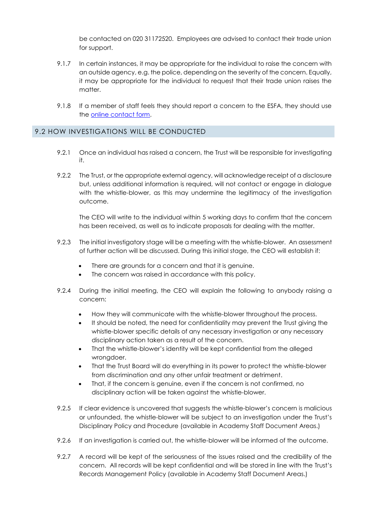be contacted on 020 31172520. Employees are advised to contact their trade union for support.

- 9.1.7 In certain instances, it may be appropriate for the individual to raise the concern with an outside agency, e.g. the police, depending on the severity of the concern. Equally, it may be appropriate for the individual to request that their trade union raises the matter.
- 9.1.8 If a member of staff feels they should report a concern to the ESFA, they should use the [online contact form.](https://form.education.gov.uk/en/AchieveForms/?form_uri=sandbox-publish://AF-Process-f1453496-7d8a-463f-9f33-1da2ac47ed76/AF-Stage-1e64d4cc-25fb-499a-a8d7-74e98203ac00/definition.json&redirectlink=%2Fen&cancelRedirectLink=%2Fenm)

#### 9.2 HOW INVESTIGATIONS WILL BE CONDUCTED

- 9.2.1 Once an individual has raised a concern, the Trust will be responsible for investigating it.
- 9.2.2 The Trust, or the appropriate external agency, will acknowledge receipt of a disclosure but, unless additional information is required, will not contact or engage in dialogue with the whistle-blower, as this may undermine the legitimacy of the investigation outcome.

The CEO will write to the individual within 5 working days to confirm that the concern has been received, as well as to indicate proposals for dealing with the matter.

- <span id="page-7-0"></span>9.2.3 The initial investigatory stage will be a meeting with the whistle-blower. An assessment of further action will be discussed. During this initial stage, the CEO will establish if:
	- There are grounds for a concern and that it is genuine.
	- The concern was raised in accordance with this policy.
- 9.2.4 During the initial meeting, the CEO will explain the following to anybody raising a concern:
	- How they will communicate with the whistle-blower throughout the process.
	- It should be noted, the need for confidentiality may prevent the Trust giving the whistle-blower specific details of any necessary investigation or any necessary disciplinary action taken as a result of the concern.
	- That the whistle-blower's identity will be kept confidential from the alleged wrongdoer.
	- That the Trust Board will do everything in its power to protect the whistle-blower from discrimination and any other unfair treatment or detriment.
	- That, if the concern is genuine, even if the concern is not confirmed, no disciplinary action will be taken against the whistle-blower.
- 9.2.5 If clear evidence is uncovered that suggests the whistle-blower's concern is malicious or unfounded, the whistle-blower will be subject to an investigation under the Trust's Disciplinary Policy and Procedure (available in Academy Staff Document Areas.)
- 9.2.6 If an investigation is carried out, the whistle-blower will be informed of the outcome.
- 9.2.7 A record will be kept of the seriousness of the issues raised and the credibility of the concern. All records will be kept confidential and will be stored in line with the Trust's Records Management Policy (available in Academy Staff Document Areas.)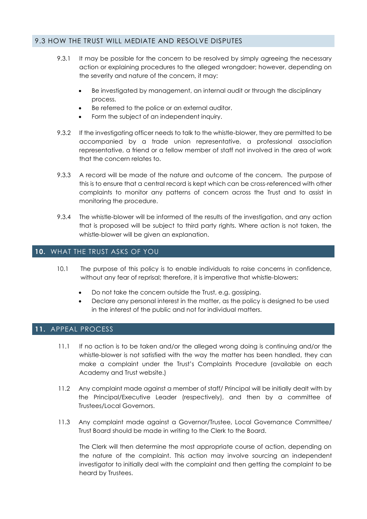#### 9.3 HOW THE TRUST WILL MEDIATE AND RESOLVE DISPUTES

- 9.3.1 It may be possible for the concern to be resolved by simply agreeing the necessary action or explaining procedures to the alleged wrongdoer; however, depending on the severity and nature of the concern, it may:
	- Be investigated by management, an internal audit or through the disciplinary process.
	- Be referred to the police or an external auditor.
	- Form the subject of an independent inquiry.
- 9.3.2 If the investigating officer needs to talk to the whistle-blower, they are permitted to be accompanied by a trade union representative, a professional association representative, a friend or a fellow member of staff not involved in the area of work that the concern relates to.
- 9.3.3 A record will be made of the nature and outcome of the concern. The purpose of this is to ensure that a central record is kept which can be cross-referenced with other complaints to monitor any patterns of concern across the Trust and to assist in monitoring the procedure.
- 9.3.4 The whistle-blower will be informed of the results of the investigation, and any action that is proposed will be subject to third party rights. Where action is not taken, the whistle-blower will be given an explanation.

#### **10.** WHAT THE TRUST ASKS OF YOU

- 10.1 The purpose of this policy is to enable individuals to raise concerns in confidence, without any fear of reprisal; therefore, it is imperative that whistle-blowers:
	- Do not take the concern outside the Trust, e.g. gossiping.
	- Declare any personal interest in the matter, as the policy is designed to be used in the interest of the public and not for individual matters.

#### **11.** APPEAL PROCESS

- 11.1 If no action is to be taken and/or the alleged wrong doing is continuing and/or the whistle-blower is not satisfied with the way the matter has been handled, they can make a complaint under the Trust's Complaints Procedure (available on each Academy and Trust website.)
- 11.2 Any complaint made against a member of staff/ Principal will be initially dealt with by the Principal/Executive Leader (respectively), and then by a committee of Trustees/Local Governors.
- 11.3 Any complaint made against a Governor/Trustee, Local Governance Committee/ Trust Board should be made in writing to the Clerk to the Board.

The Clerk will then determine the most appropriate course of action, depending on the nature of the complaint. This action may involve sourcing an independent investigator to initially deal with the complaint and then getting the complaint to be heard by Trustees.